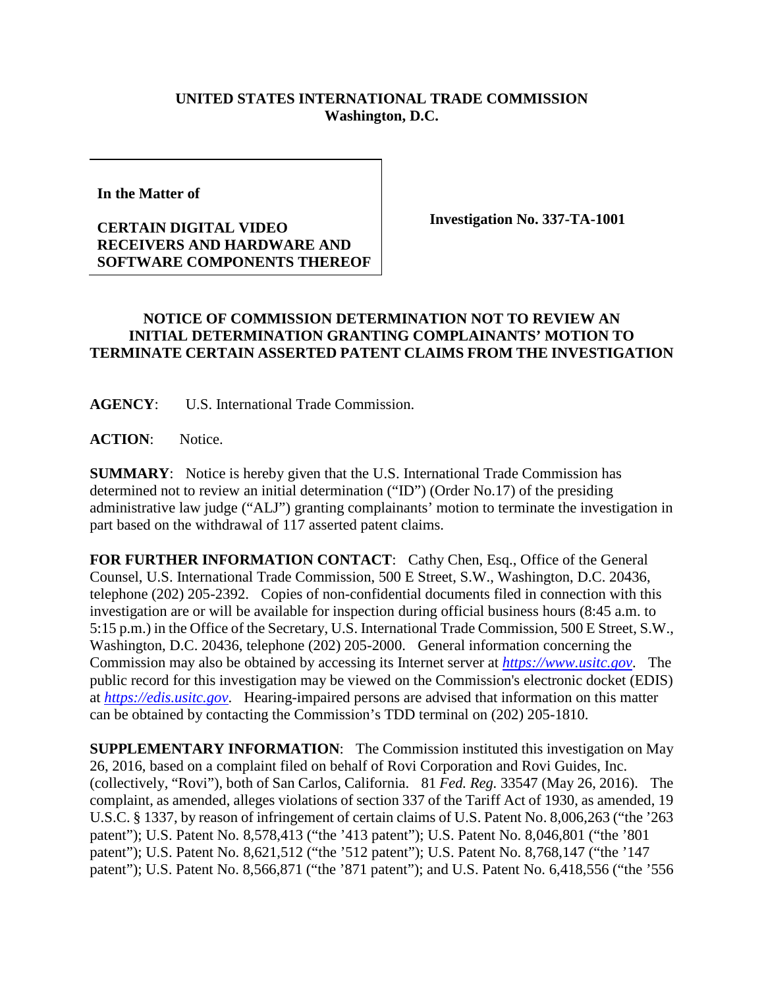## **UNITED STATES INTERNATIONAL TRADE COMMISSION Washington, D.C.**

**In the Matter of** 

## **CERTAIN DIGITAL VIDEO RECEIVERS AND HARDWARE AND SOFTWARE COMPONENTS THEREOF**

**Investigation No. 337-TA-1001**

## **NOTICE OF COMMISSION DETERMINATION NOT TO REVIEW AN INITIAL DETERMINATION GRANTING COMPLAINANTS' MOTION TO TERMINATE CERTAIN ASSERTED PATENT CLAIMS FROM THE INVESTIGATION**

**AGENCY**: U.S. International Trade Commission.

ACTION: Notice.

**SUMMARY**: Notice is hereby given that the U.S. International Trade Commission has determined not to review an initial determination ("ID") (Order No.17) of the presiding administrative law judge ("ALJ") granting complainants' motion to terminate the investigation in part based on the withdrawal of 117 asserted patent claims.

FOR FURTHER INFORMATION CONTACT: Cathy Chen, Esq., Office of the General Counsel, U.S. International Trade Commission, 500 E Street, S.W., Washington, D.C. 20436, telephone (202) 205-2392. Copies of non-confidential documents filed in connection with this investigation are or will be available for inspection during official business hours (8:45 a.m. to 5:15 p.m.) in the Office of the Secretary, U.S. International Trade Commission, 500 E Street, S.W., Washington, D.C. 20436, telephone (202) 205-2000. General information concerning the Commission may also be obtained by accessing its Internet server at *[https://www.usitc.gov](https://www.usitc.gov/)*. The public record for this investigation may be viewed on the Commission's electronic docket (EDIS) at *[https://edis.usitc.gov](https://edis.usitc.gov/)*. Hearing-impaired persons are advised that information on this matter can be obtained by contacting the Commission's TDD terminal on (202) 205-1810.

**SUPPLEMENTARY INFORMATION**: The Commission instituted this investigation on May 26, 2016, based on a complaint filed on behalf of Rovi Corporation and Rovi Guides, Inc. (collectively, "Rovi"), both of San Carlos, California. 81 *Fed. Reg.* 33547 (May 26, 2016). The complaint, as amended, alleges violations of section 337 of the Tariff Act of 1930, as amended, 19 U.S.C. § 1337, by reason of infringement of certain claims of U.S. Patent No. 8,006,263 ("the '263 patent"); U.S. Patent No. 8,578,413 ("the '413 patent"); U.S. Patent No. 8,046,801 ("the '801 patent"); U.S. Patent No. 8,621,512 ("the '512 patent"); U.S. Patent No. 8,768,147 ("the '147 patent"); U.S. Patent No. 8,566,871 ("the '871 patent"); and U.S. Patent No. 6,418,556 ("the '556